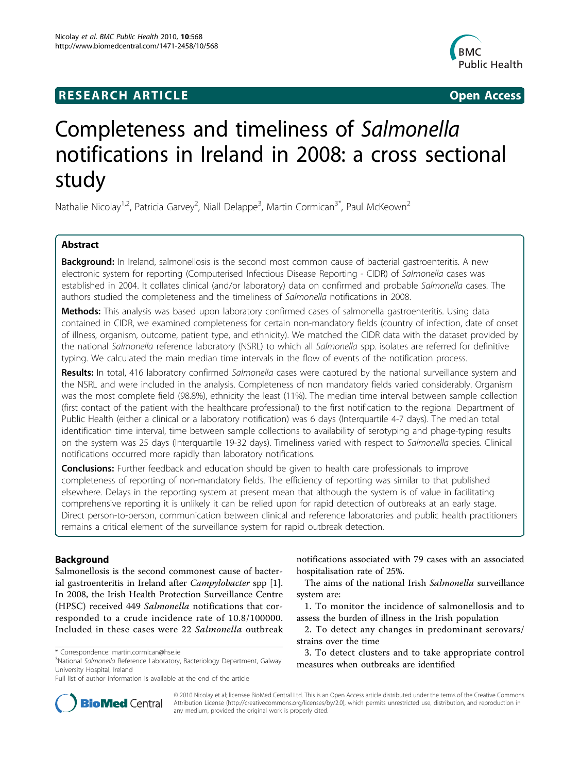## **RESEARCH ARTICLE Example 2014 CONSUMING ACCESS**



# Completeness and timeliness of Salmonella notifications in Ireland in 2008: a cross sectional study

Nathalie Nicolay<sup>1,2</sup>, Patricia Garvey<sup>2</sup>, Niall Delappe<sup>3</sup>, Martin Cormican<sup>3\*</sup>, Paul McKeown<sup>2</sup>

## Abstract

**Background:** In Ireland, salmonellosis is the second most common cause of bacterial gastroenteritis. A new electronic system for reporting (Computerised Infectious Disease Reporting - CIDR) of Salmonella cases was established in 2004. It collates clinical (and/or laboratory) data on confirmed and probable Salmonella cases. The authors studied the completeness and the timeliness of Salmonella notifications in 2008.

**Methods:** This analysis was based upon laboratory confirmed cases of salmonella gastroenteritis. Using data contained in CIDR, we examined completeness for certain non-mandatory fields (country of infection, date of onset of illness, organism, outcome, patient type, and ethnicity). We matched the CIDR data with the dataset provided by the national Salmonella reference laboratory (NSRL) to which all Salmonella spp. isolates are referred for definitive typing. We calculated the main median time intervals in the flow of events of the notification process.

Results: In total, 416 laboratory confirmed Salmonella cases were captured by the national surveillance system and the NSRL and were included in the analysis. Completeness of non mandatory fields varied considerably. Organism was the most complete field (98.8%), ethnicity the least (11%). The median time interval between sample collection (first contact of the patient with the healthcare professional) to the first notification to the regional Department of Public Health (either a clinical or a laboratory notification) was 6 days (Interquartile 4-7 days). The median total identification time interval, time between sample collections to availability of serotyping and phage-typing results on the system was 25 days (Interquartile 19-32 days). Timeliness varied with respect to Salmonella species. Clinical notifications occurred more rapidly than laboratory notifications.

**Conclusions:** Further feedback and education should be given to health care professionals to improve completeness of reporting of non-mandatory fields. The efficiency of reporting was similar to that published elsewhere. Delays in the reporting system at present mean that although the system is of value in facilitating comprehensive reporting it is unlikely it can be relied upon for rapid detection of outbreaks at an early stage. Direct person-to-person, communication between clinical and reference laboratories and public health practitioners remains a critical element of the surveillance system for rapid outbreak detection.

## Background

Salmonellosis is the second commonest cause of bacter-ial gastroenteritis in Ireland after Campylobacter spp [\[1](#page-7-0)]. In 2008, the Irish Health Protection Surveillance Centre (HPSC) received 449 Salmonella notifications that corresponded to a crude incidence rate of 10.8/100000. Included in these cases were 22 Salmonella outbreak

notifications associated with 79 cases with an associated hospitalisation rate of 25%.

The aims of the national Irish Salmonella surveillance system are:

1. To monitor the incidence of salmonellosis and to assess the burden of illness in the Irish population

2. To detect any changes in predominant serovars/ strains over the time

3. To detect clusters and to take appropriate control measures when outbreaks are identified



© 2010 Nicolay et al; licensee BioMed Central Ltd. This is an Open Access article distributed under the terms of the Creative Commons Attribution License [\(http://creativecommons.org/licenses/by/2.0](http://creativecommons.org/licenses/by/2.0)), which permits unrestricted use, distribution, and reproduction in any medium, provided the original work is properly cited.

<sup>\*</sup> Correspondence: [martin.cormican@hse.ie](mailto:martin.cormican@hse.ie)

<sup>&</sup>lt;sup>3</sup>National Salmonella Reference Laboratory, Bacteriology Department, Galway University Hospital, Ireland

Full list of author information is available at the end of the article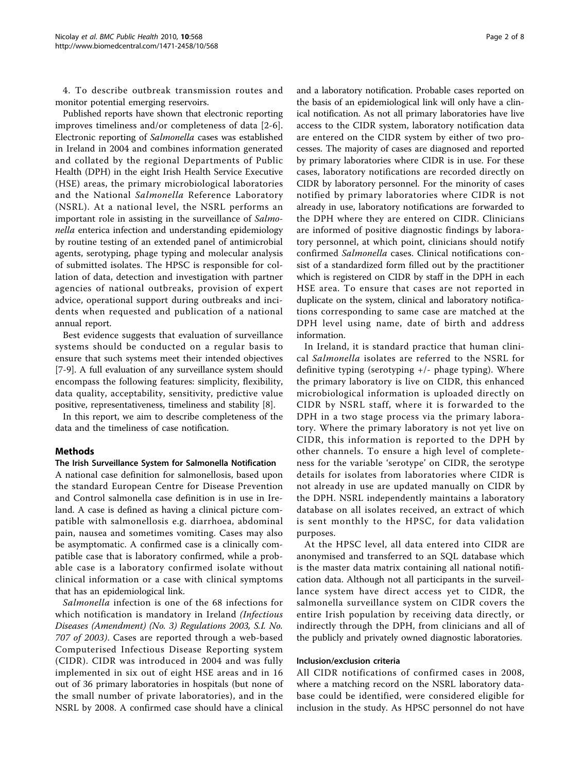4. To describe outbreak transmission routes and monitor potential emerging reservoirs.

Published reports have shown that electronic reporting improves timeliness and/or completeness of data [\[2](#page-7-0)-[6](#page-7-0)]. Electronic reporting of Salmonella cases was established in Ireland in 2004 and combines information generated and collated by the regional Departments of Public Health (DPH) in the eight Irish Health Service Executive (HSE) areas, the primary microbiological laboratories and the National Salmonella Reference Laboratory (NSRL). At a national level, the NSRL performs an important role in assisting in the surveillance of Salmonella enterica infection and understanding epidemiology by routine testing of an extended panel of antimicrobial agents, serotyping, phage typing and molecular analysis of submitted isolates. The HPSC is responsible for collation of data, detection and investigation with partner agencies of national outbreaks, provision of expert advice, operational support during outbreaks and incidents when requested and publication of a national annual report.

Best evidence suggests that evaluation of surveillance systems should be conducted on a regular basis to ensure that such systems meet their intended objectives [[7-9](#page-7-0)]. A full evaluation of any surveillance system should encompass the following features: simplicity, flexibility, data quality, acceptability, sensitivity, predictive value positive, representativeness, timeliness and stability [[8\]](#page-7-0).

In this report, we aim to describe completeness of the data and the timeliness of case notification.

#### Methods

#### The Irish Surveillance System for Salmonella Notification

A national case definition for salmonellosis, based upon the standard European Centre for Disease Prevention and Control salmonella case definition is in use in Ireland. A case is defined as having a clinical picture compatible with salmonellosis e.g. diarrhoea, abdominal pain, nausea and sometimes vomiting. Cases may also be asymptomatic. A confirmed case is a clinically compatible case that is laboratory confirmed, while a probable case is a laboratory confirmed isolate without clinical information or a case with clinical symptoms that has an epidemiological link.

Salmonella infection is one of the 68 infections for which notification is mandatory in Ireland (Infectious Diseases (Amendment) (No. 3) Regulations 2003, S.I. No. 707 of 2003). Cases are reported through a web-based Computerised Infectious Disease Reporting system (CIDR). CIDR was introduced in 2004 and was fully implemented in six out of eight HSE areas and in 16 out of 36 primary laboratories in hospitals (but none of the small number of private laboratories), and in the NSRL by 2008. A confirmed case should have a clinical and a laboratory notification. Probable cases reported on the basis of an epidemiological link will only have a clinical notification. As not all primary laboratories have live access to the CIDR system, laboratory notification data are entered on the CIDR system by either of two processes. The majority of cases are diagnosed and reported by primary laboratories where CIDR is in use. For these cases, laboratory notifications are recorded directly on CIDR by laboratory personnel. For the minority of cases notified by primary laboratories where CIDR is not already in use, laboratory notifications are forwarded to the DPH where they are entered on CIDR. Clinicians are informed of positive diagnostic findings by laboratory personnel, at which point, clinicians should notify confirmed Salmonella cases. Clinical notifications consist of a standardized form filled out by the practitioner which is registered on CIDR by staff in the DPH in each HSE area. To ensure that cases are not reported in duplicate on the system, clinical and laboratory notifications corresponding to same case are matched at the DPH level using name, date of birth and address information.

In Ireland, it is standard practice that human clinical Salmonella isolates are referred to the NSRL for definitive typing (serotyping  $+/-$  phage typing). Where the primary laboratory is live on CIDR, this enhanced microbiological information is uploaded directly on CIDR by NSRL staff, where it is forwarded to the DPH in a two stage process via the primary laboratory. Where the primary laboratory is not yet live on CIDR, this information is reported to the DPH by other channels. To ensure a high level of completeness for the variable 'serotype' on CIDR, the serotype details for isolates from laboratories where CIDR is not already in use are updated manually on CIDR by the DPH. NSRL independently maintains a laboratory database on all isolates received, an extract of which is sent monthly to the HPSC, for data validation purposes.

At the HPSC level, all data entered into CIDR are anonymised and transferred to an SQL database which is the master data matrix containing all national notification data. Although not all participants in the surveillance system have direct access yet to CIDR, the salmonella surveillance system on CIDR covers the entire Irish population by receiving data directly, or indirectly through the DPH, from clinicians and all of the publicly and privately owned diagnostic laboratories.

#### Inclusion/exclusion criteria

All CIDR notifications of confirmed cases in 2008, where a matching record on the NSRL laboratory database could be identified, were considered eligible for inclusion in the study. As HPSC personnel do not have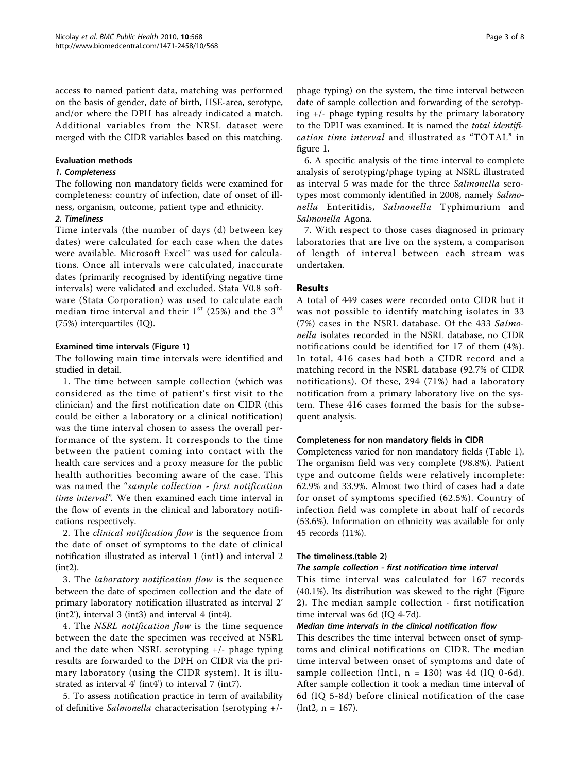access to named patient data, matching was performed on the basis of gender, date of birth, HSE-area, serotype, and/or where the DPH has already indicated a match. Additional variables from the NRSL dataset were merged with the CIDR variables based on this matching.

## Evaluation methods

## 1. Completeness

The following non mandatory fields were examined for completeness: country of infection, date of onset of illness, organism, outcome, patient type and ethnicity.

## 2. Timeliness

Time intervals (the number of days (d) between key dates) were calculated for each case when the dates were available. Microsoft Excel™ was used for calculations. Once all intervals were calculated, inaccurate dates (primarily recognised by identifying negative time intervals) were validated and excluded. Stata V0.8 software (Stata Corporation) was used to calculate each median time interval and their  $1<sup>st</sup>$  (25%) and the  $3<sup>rd</sup>$ (75%) interquartiles (IQ).

## Examined time intervals (Figure [1](#page-3-0))

The following main time intervals were identified and studied in detail.

1. The time between sample collection (which was considered as the time of patient's first visit to the clinician) and the first notification date on CIDR (this could be either a laboratory or a clinical notification) was the time interval chosen to assess the overall performance of the system. It corresponds to the time between the patient coming into contact with the health care services and a proxy measure for the public health authorities becoming aware of the case. This was named the "sample collection - first notification time interval". We then examined each time interval in the flow of events in the clinical and laboratory notifications respectively.

2. The clinical notification flow is the sequence from the date of onset of symptoms to the date of clinical notification illustrated as interval 1 (int1) and interval 2 (int2).

3. The laboratory notification flow is the sequence between the date of specimen collection and the date of primary laboratory notification illustrated as interval 2' (int2'), interval 3 (int3) and interval 4 (int4).

4. The NSRL notification flow is the time sequence between the date the specimen was received at NSRL and the date when NSRL serotyping +/- phage typing results are forwarded to the DPH on CIDR via the primary laboratory (using the CIDR system). It is illustrated as interval 4' (int4') to interval 7 (int7).

5. To assess notification practice in term of availability of definitive Salmonella characterisation (serotyping +/-

phage typing) on the system, the time interval between date of sample collection and forwarding of the serotyping +/- phage typing results by the primary laboratory to the DPH was examined. It is named the total identification time interval and illustrated as "TOTAL" in figure [1](#page-3-0).

6. A specific analysis of the time interval to complete analysis of serotyping/phage typing at NSRL illustrated as interval 5 was made for the three Salmonella serotypes most commonly identified in 2008, namely Salmonella Enteritidis, Salmonella Typhimurium and Salmonella Agona.

7. With respect to those cases diagnosed in primary laboratories that are live on the system, a comparison of length of interval between each stream was undertaken.

## Results

A total of 449 cases were recorded onto CIDR but it was not possible to identify matching isolates in 33 (7%) cases in the NSRL database. Of the 433 Salmonella isolates recorded in the NSRL database, no CIDR notifications could be identified for 17 of them (4%). In total, 416 cases had both a CIDR record and a matching record in the NSRL database (92.7% of CIDR notifications). Of these, 294 (71%) had a laboratory notification from a primary laboratory live on the system. These 416 cases formed the basis for the subsequent analysis.

## Completeness for non mandatory fields in CIDR

Completeness varied for non mandatory fields (Table [1](#page-3-0)). The organism field was very complete (98.8%). Patient type and outcome fields were relatively incomplete: 62.9% and 33.9%. Almost two third of cases had a date for onset of symptoms specified (62.5%). Country of infection field was complete in about half of records (53.6%). Information on ethnicity was available for only 45 records (11%).

## The timeliness.(table [2\)](#page-4-0)

## The sample collection - first notification time interval

This time interval was calculated for 167 records (40.1%). Its distribution was skewed to the right (Figure [2](#page-5-0)). The median sample collection - first notification time interval was 6d (IQ 4-7d).

#### Median time intervals in the clinical notification flow

This describes the time interval between onset of symptoms and clinical notifications on CIDR. The median time interval between onset of symptoms and date of sample collection (Int1,  $n = 130$ ) was 4d (IQ 0-6d). After sample collection it took a median time interval of 6d (IQ 5-8d) before clinical notification of the case  $(int2, n = 167).$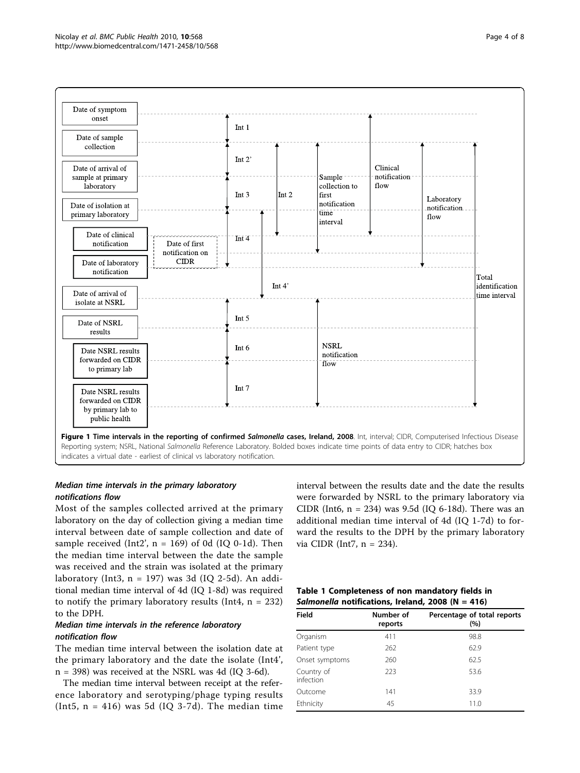<span id="page-3-0"></span>

## Median time intervals in the primary laboratory notifications flow

Most of the samples collected arrived at the primary laboratory on the day of collection giving a median time interval between date of sample collection and date of sample received (Int2',  $n = 169$ ) of 0d (IQ 0-1d). Then the median time interval between the date the sample was received and the strain was isolated at the primary laboratory (Int3,  $n = 197$ ) was 3d (IQ 2-5d). An additional median time interval of 4d (IQ 1-8d) was required to notify the primary laboratory results (Int4,  $n = 232$ ) to the DPH.

## Median time intervals in the reference laboratory notification flow

The median time interval between the isolation date at the primary laboratory and the date the isolate (Int4', n = 398) was received at the NSRL was 4d (IQ 3-6d).

The median time interval between receipt at the reference laboratory and serotyping/phage typing results (Int5,  $n = 416$ ) was 5d (IQ 3-7d). The median time interval between the results date and the date the results were forwarded by NSRL to the primary laboratory via CIDR (Int6,  $n = 234$ ) was 9.5d (IQ 6-18d). There was an additional median time interval of 4d (IQ 1-7d) to forward the results to the DPH by the primary laboratory via CIDR (Int7, n = 234).

| Table 1 Completeness of non mandatory fields in              |  |
|--------------------------------------------------------------|--|
| <i>Salmonella</i> notifications, Ireland, 2008 ( $N = 416$ ) |  |

| Field                   | Number of<br>reports | Percentage of total reports<br>(%) |
|-------------------------|----------------------|------------------------------------|
| Organism                | 411                  | 98.8                               |
| Patient type            | 262                  | 62.9                               |
| Onset symptoms          | 260                  | 62.5                               |
| Country of<br>infection | 223                  | 53.6                               |
| Outcome                 | 141                  | 33.9                               |
| Ethnicity               | 45                   | 11.0                               |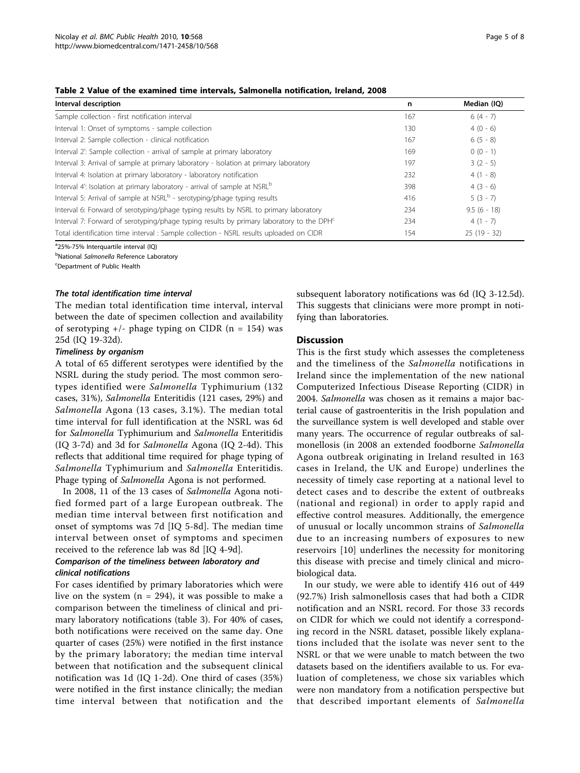#### <span id="page-4-0"></span>Table 2 Value of the examined time intervals, Salmonella notification, Ireland, 2008

| Interval description                                                                                 | n   | Median (IQ)   |
|------------------------------------------------------------------------------------------------------|-----|---------------|
| Sample collection - first notification interval                                                      | 167 | $6(4 - 7)$    |
| Interval 1: Onset of symptoms - sample collection                                                    | 130 | $4(0 - 6)$    |
| Interval 2: Sample collection - clinical notification                                                | 167 | $6(5 - 8)$    |
| Interval 2': Sample collection - arrival of sample at primary laboratory                             | 169 | $0(0 - 1)$    |
| Interval 3: Arrival of sample at primary laboratory - Isolation at primary laboratory                | 197 | $3(2 - 5)$    |
| Interval 4: Isolation at primary laboratory - laboratory notification                                | 232 | $4(1 - 8)$    |
| Interval 4': Isolation at primary laboratory - arrival of sample at NSRL <sup>b</sup>                | 398 | $4(3-6)$      |
| Interval 5: Arrival of sample at NSRL <sup>b</sup> - serotyping/phage typing results                 | 416 | $5(3 - 7)$    |
| Interval 6: Forward of serotyping/phage typing results by NSRL to primary laboratory                 | 234 | $9.5(6 - 18)$ |
| Interval 7: Forward of serotyping/phage typing results by primary laboratory to the DPH <sup>c</sup> | 234 | $4(1 - 7)$    |
| Total identification time interval : Sample collection - NSRL results uploaded on CIDR               | 154 | $25(19 - 32)$ |

<sup>a</sup>25%-75% Interquartile interval (IQ)

<sup>b</sup>National Salmonella Reference Laboratory

<sup>c</sup>Department of Public Health

#### The total identification time interval

The median total identification time interval, interval between the date of specimen collection and availability of serotyping  $+/-$  phage typing on CIDR (n = 154) was 25d (IQ 19-32d).

#### Timeliness by organism

A total of 65 different serotypes were identified by the NSRL during the study period. The most common serotypes identified were Salmonella Typhimurium (132 cases, 31%), Salmonella Enteritidis (121 cases, 29%) and Salmonella Agona (13 cases, 3.1%). The median total time interval for full identification at the NSRL was 6d for Salmonella Typhimurium and Salmonella Enteritidis (IQ 3-7d) and 3d for Salmonella Agona (IQ 2-4d). This reflects that additional time required for phage typing of Salmonella Typhimurium and Salmonella Enteritidis. Phage typing of Salmonella Agona is not performed.

In 2008, 11 of the 13 cases of Salmonella Agona notified formed part of a large European outbreak. The median time interval between first notification and onset of symptoms was 7d [IQ 5-8d]. The median time interval between onset of symptoms and specimen received to the reference lab was 8d [IQ 4-9d].

## Comparison of the timeliness between laboratory and clinical notifications

For cases identified by primary laboratories which were live on the system ( $n = 294$ ), it was possible to make a comparison between the timeliness of clinical and primary laboratory notifications (table [3\)](#page-5-0). For 40% of cases, both notifications were received on the same day. One quarter of cases (25%) were notified in the first instance by the primary laboratory; the median time interval between that notification and the subsequent clinical notification was 1d (IQ 1-2d). One third of cases (35%) were notified in the first instance clinically; the median time interval between that notification and the subsequent laboratory notifications was 6d (IQ 3-12.5d). This suggests that clinicians were more prompt in notifying than laboratories.

## **Discussion**

This is the first study which assesses the completeness and the timeliness of the Salmonella notifications in Ireland since the implementation of the new national Computerized Infectious Disease Reporting (CIDR) in 2004. Salmonella was chosen as it remains a major bacterial cause of gastroenteritis in the Irish population and the surveillance system is well developed and stable over many years. The occurrence of regular outbreaks of salmonellosis (in 2008 an extended foodborne Salmonella Agona outbreak originating in Ireland resulted in 163 cases in Ireland, the UK and Europe) underlines the necessity of timely case reporting at a national level to detect cases and to describe the extent of outbreaks (national and regional) in order to apply rapid and effective control measures. Additionally, the emergence of unusual or locally uncommon strains of Salmonella due to an increasing numbers of exposures to new reservoirs [[10\]](#page-7-0) underlines the necessity for monitoring this disease with precise and timely clinical and microbiological data.

In our study, we were able to identify 416 out of 449 (92.7%) Irish salmonellosis cases that had both a CIDR notification and an NSRL record. For those 33 records on CIDR for which we could not identify a corresponding record in the NSRL dataset, possible likely explanations included that the isolate was never sent to the NSRL or that we were unable to match between the two datasets based on the identifiers available to us. For evaluation of completeness, we chose six variables which were non mandatory from a notification perspective but that described important elements of Salmonella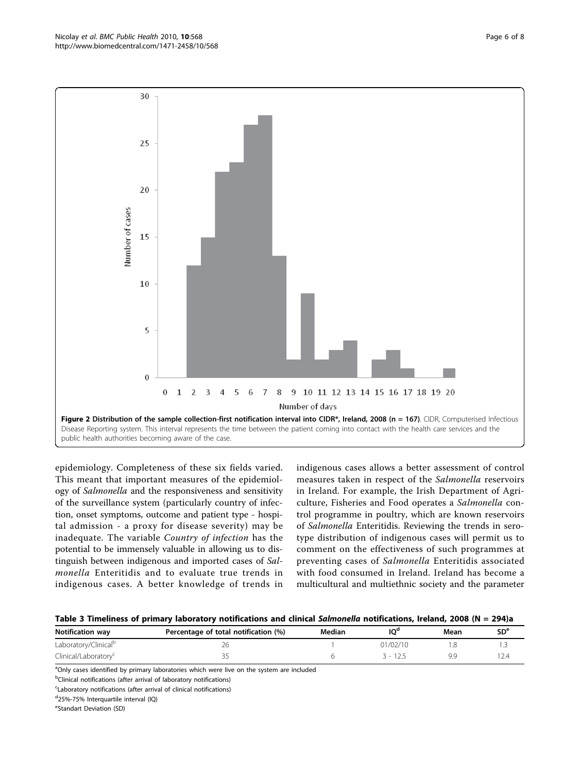epidemiology. Completeness of these six fields varied. This meant that important measures of the epidemiology of Salmonella and the responsiveness and sensitivity of the surveillance system (particularly country of infection, onset symptoms, outcome and patient type - hospital admission - a proxy for disease severity) may be inadequate. The variable Country of infection has the potential to be immensely valuable in allowing us to distinguish between indigenous and imported cases of Salmonella Enteritidis and to evaluate true trends in indigenous cases. A better knowledge of trends in

indigenous cases allows a better assessment of control measures taken in respect of the Salmonella reservoirs in Ireland. For example, the Irish Department of Agriculture, Fisheries and Food operates a Salmonella control programme in poultry, which are known reservoirs of Salmonella Enteritidis. Reviewing the trends in serotype distribution of indigenous cases will permit us to comment on the effectiveness of such programmes at preventing cases of Salmonella Enteritidis associated with food consumed in Ireland. Ireland has become a multicultural and multiethnic society and the parameter



| <b>Notification way</b>          | Percentage of total notification (%) | Median | ימי       | Mean | $\mathsf{SD}^\mathsf{e}$ |
|----------------------------------|--------------------------------------|--------|-----------|------|--------------------------|
| Laboratory/Clinical <sup>D</sup> |                                      |        | 01/02/10  |      |                          |
| Clinical/Laboratory              |                                      |        | $3 - 125$ | aα   | 2.4                      |

<sup>a</sup>Only cases identified by primary laboratories which were live on the system are included

<sup>b</sup>Clinical notifications (after arrival of laboratory notifications)

<sup>c</sup>Laboratory notifications (after arrival of clinical notifications)

<sup>d</sup>25%-75% Interquartile interval (IQ)

<sup>e</sup>Standart Deviation (SD)

<span id="page-5-0"></span>Nicolay et al. BMC Public Health 2010, 10:568 http://www.biomedcentral.com/1471-2458/10/568

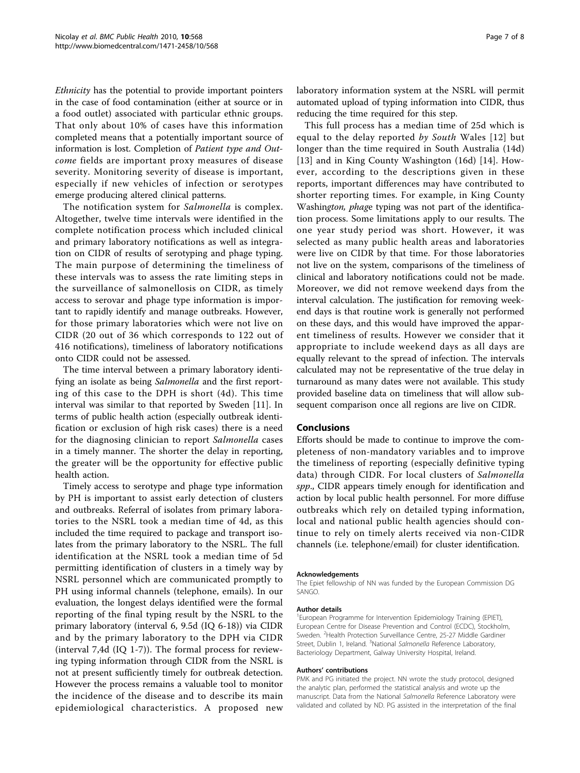Ethnicity has the potential to provide important pointers in the case of food contamination (either at source or in a food outlet) associated with particular ethnic groups. That only about 10% of cases have this information completed means that a potentially important source of information is lost. Completion of Patient type and Outcome fields are important proxy measures of disease severity. Monitoring severity of disease is important, especially if new vehicles of infection or serotypes emerge producing altered clinical patterns.

The notification system for Salmonella is complex. Altogether, twelve time intervals were identified in the complete notification process which included clinical and primary laboratory notifications as well as integration on CIDR of results of serotyping and phage typing. The main purpose of determining the timeliness of these intervals was to assess the rate limiting steps in the surveillance of salmonellosis on CIDR, as timely access to serovar and phage type information is important to rapidly identify and manage outbreaks. However, for those primary laboratories which were not live on CIDR (20 out of 36 which corresponds to 122 out of 416 notifications), timeliness of laboratory notifications onto CIDR could not be assessed.

The time interval between a primary laboratory identifying an isolate as being Salmonella and the first reporting of this case to the DPH is short (4d). This time interval was similar to that reported by Sweden [[11\]](#page-7-0). In terms of public health action (especially outbreak identification or exclusion of high risk cases) there is a need for the diagnosing clinician to report Salmonella cases in a timely manner. The shorter the delay in reporting, the greater will be the opportunity for effective public health action.

Timely access to serotype and phage type information by PH is important to assist early detection of clusters and outbreaks. Referral of isolates from primary laboratories to the NSRL took a median time of 4d, as this included the time required to package and transport isolates from the primary laboratory to the NSRL. The full identification at the NSRL took a median time of 5d permitting identification of clusters in a timely way by NSRL personnel which are communicated promptly to PH using informal channels (telephone, emails). In our evaluation, the longest delays identified were the formal reporting of the final typing result by the NSRL to the primary laboratory (interval 6, 9.5d (IQ 6-18)) via CIDR and by the primary laboratory to the DPH via CIDR (interval 7,4d (IQ 1-7)). The formal process for reviewing typing information through CIDR from the NSRL is not at present sufficiently timely for outbreak detection. However the process remains a valuable tool to monitor the incidence of the disease and to describe its main epidemiological characteristics. A proposed new laboratory information system at the NSRL will permit automated upload of typing information into CIDR, thus reducing the time required for this step.

This full process has a median time of 25d which is equal to the delay reported by South Wales [[12](#page-7-0)] but longer than the time required in South Australia (14d) [[13](#page-7-0)] and in King County Washington (16d) [[14](#page-7-0)]. However, according to the descriptions given in these reports, important differences may have contributed to shorter reporting times. For example, in King County Washington, phage typing was not part of the identification process. Some limitations apply to our results. The one year study period was short. However, it was selected as many public health areas and laboratories were live on CIDR by that time. For those laboratories not live on the system, comparisons of the timeliness of clinical and laboratory notifications could not be made. Moreover, we did not remove weekend days from the interval calculation. The justification for removing weekend days is that routine work is generally not performed on these days, and this would have improved the apparent timeliness of results. However we consider that it appropriate to include weekend days as all days are equally relevant to the spread of infection. The intervals calculated may not be representative of the true delay in turnaround as many dates were not available. This study provided baseline data on timeliness that will allow subsequent comparison once all regions are live on CIDR.

#### Conclusions

Efforts should be made to continue to improve the completeness of non-mandatory variables and to improve the timeliness of reporting (especially definitive typing data) through CIDR. For local clusters of Salmonella spp., CIDR appears timely enough for identification and action by local public health personnel. For more diffuse outbreaks which rely on detailed typing information, local and national public health agencies should continue to rely on timely alerts received via non-CIDR channels (i.e. telephone/email) for cluster identification.

#### Acknowledgements

The Epiet fellowship of NN was funded by the European Commission DG SANGO.

#### Author details

<sup>1</sup> European Programme for Intervention Epidemiology Training (EPIET), European Centre for Disease Prevention and Control (ECDC), Stockholm, Sweden. <sup>2</sup> Health Protection Surveillance Centre, 25-27 Middle Gardiner Street, Dublin 1, Ireland. <sup>3</sup>National Salmonella Reference Laboratory, Bacteriology Department, Galway University Hospital, Ireland.

#### Authors' contributions

PMK and PG initiated the project. NN wrote the study protocol, designed the analytic plan, performed the statistical analysis and wrote up the manuscript. Data from the National Salmonella Reference Laboratory were validated and collated by ND. PG assisted in the interpretation of the final